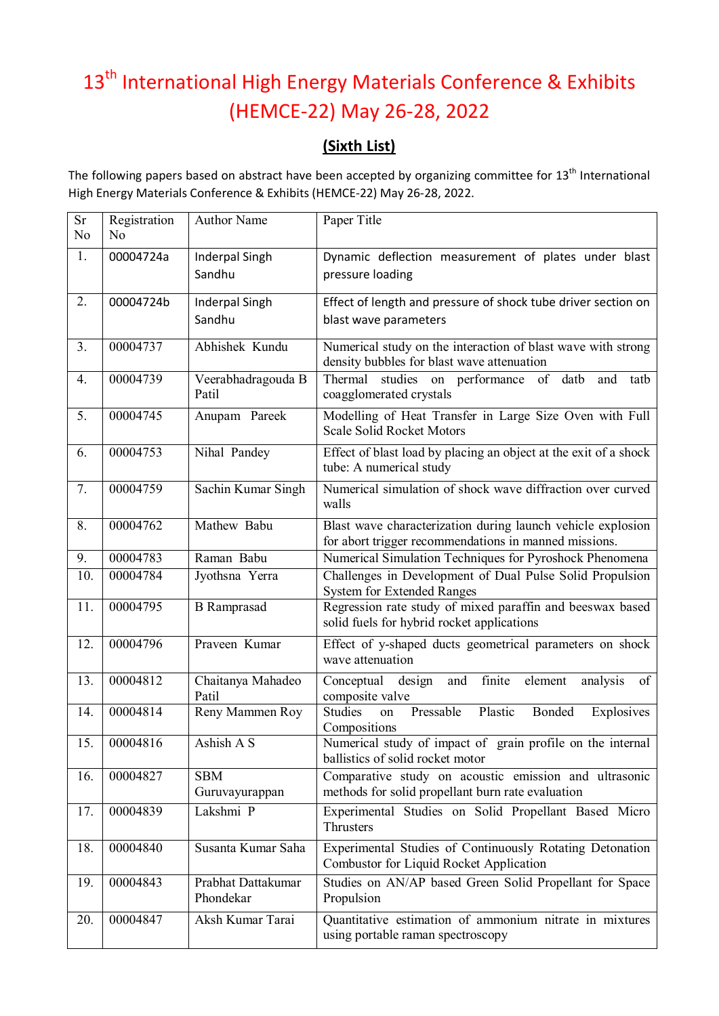## 13<sup>th</sup> International High Energy Materials Conference & Exhibits (HEMCE-22) May 26-28, 2022

## **(Sixth List)**

The following papers based on abstract have been accepted by organizing committee for 13<sup>th</sup> International High Energy Materials Conference & Exhibits (HEMCE-22) May 26-28, 2022.

| <b>Sr</b><br>No | Registration<br>No | <b>Author Name</b>              | Paper Title                                                                                                          |
|-----------------|--------------------|---------------------------------|----------------------------------------------------------------------------------------------------------------------|
| 1.              | 00004724a          | <b>Inderpal Singh</b><br>Sandhu | Dynamic deflection measurement of plates under blast<br>pressure loading                                             |
| 2.              | 00004724b          | <b>Inderpal Singh</b><br>Sandhu | Effect of length and pressure of shock tube driver section on<br>blast wave parameters                               |
| 3.              | 00004737           | Abhishek Kundu                  | Numerical study on the interaction of blast wave with strong<br>density bubbles for blast wave attenuation           |
| 4.              | 00004739           | Veerabhadragouda B<br>Patil     | Thermal studies on performance<br>of<br>datb<br>and tatb<br>coagglomerated crystals                                  |
| 5.              | 00004745           | Anupam Pareek                   | Modelling of Heat Transfer in Large Size Oven with Full<br><b>Scale Solid Rocket Motors</b>                          |
| 6.              | 00004753           | Nihal Pandey                    | Effect of blast load by placing an object at the exit of a shock<br>tube: A numerical study                          |
| 7.              | 00004759           | Sachin Kumar Singh              | Numerical simulation of shock wave diffraction over curved<br>walls                                                  |
| 8.              | 00004762           | Mathew Babu                     | Blast wave characterization during launch vehicle explosion<br>for abort trigger recommendations in manned missions. |
| 9.              | 00004783           | Raman Babu                      | Numerical Simulation Techniques for Pyroshock Phenomena                                                              |
| 10.             | 00004784           | Jyothsna Yerra                  | Challenges in Development of Dual Pulse Solid Propulsion<br><b>System for Extended Ranges</b>                        |
| 11.             | 00004795           | <b>B</b> Ramprasad              | Regression rate study of mixed paraffin and beeswax based<br>solid fuels for hybrid rocket applications              |
| 12.             | 00004796           | Praveen Kumar                   | Effect of y-shaped ducts geometrical parameters on shock<br>wave attenuation                                         |
| 13.             | 00004812           | Chaitanya Mahadeo<br>Patil      | finite<br>design<br>and<br>Conceptual<br>element<br>analysis<br>of<br>composite valve                                |
| 14.             | 00004814           | Reny Mammen Roy                 | <b>Studies</b><br>Pressable<br>Plastic<br>Bonded<br>Explosives<br>on<br>Compositions                                 |
| 15.             | 00004816           | Ashish A S                      | Numerical study of impact of grain profile on the internal<br>ballistics of solid rocket motor                       |
| 16.             | 00004827           | <b>SBM</b><br>Guruvayurappan    | Comparative study on acoustic emission and ultrasonic<br>methods for solid propellant burn rate evaluation           |
| 17.             | 00004839           | Lakshmi P                       | Experimental Studies on Solid Propellant Based Micro<br><b>Thrusters</b>                                             |
| 18.             | 00004840           | Susanta Kumar Saha              | Experimental Studies of Continuously Rotating Detonation<br>Combustor for Liquid Rocket Application                  |
| 19.             | 00004843           | Prabhat Dattakumar<br>Phondekar | Studies on AN/AP based Green Solid Propellant for Space<br>Propulsion                                                |
| 20.             | 00004847           | Aksh Kumar Tarai                | Quantitative estimation of ammonium nitrate in mixtures<br>using portable raman spectroscopy                         |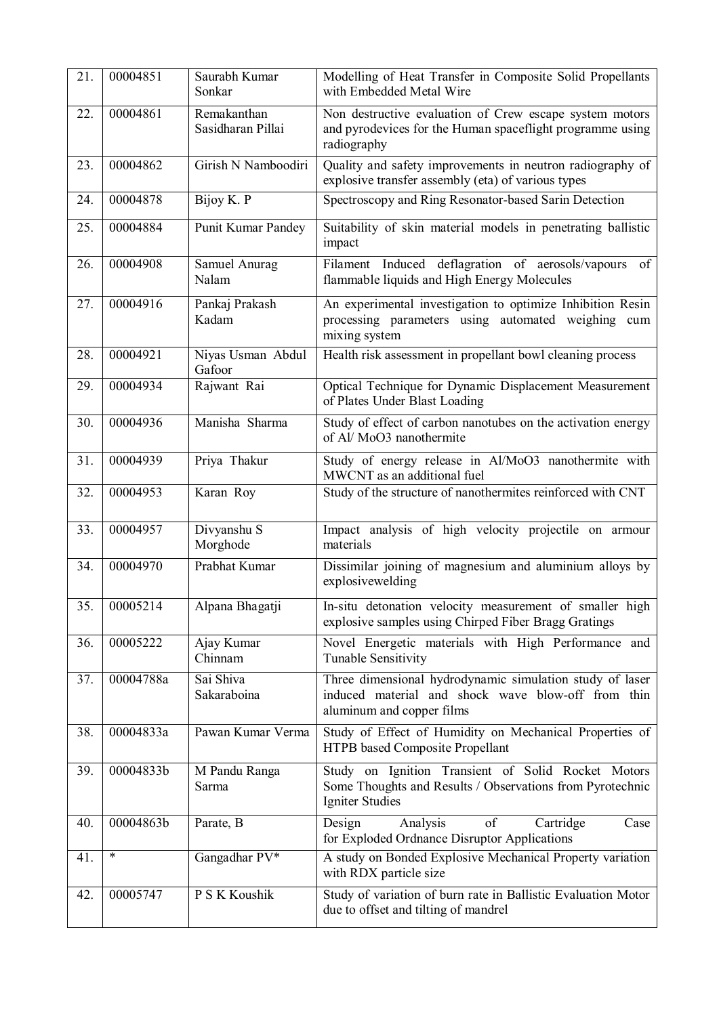| 21. | 00004851  | Saurabh Kumar<br>Sonkar          | Modelling of Heat Transfer in Composite Solid Propellants<br>with Embedded Metal Wire                                                       |
|-----|-----------|----------------------------------|---------------------------------------------------------------------------------------------------------------------------------------------|
| 22. | 00004861  | Remakanthan<br>Sasidharan Pillai | Non destructive evaluation of Crew escape system motors<br>and pyrodevices for the Human spaceflight programme using<br>radiography         |
| 23. | 00004862  | Girish N Namboodiri              | Quality and safety improvements in neutron radiography of<br>explosive transfer assembly (eta) of various types                             |
| 24. | 00004878  | Bijoy K. P                       | Spectroscopy and Ring Resonator-based Sarin Detection                                                                                       |
| 25. | 00004884  | Punit Kumar Pandey               | Suitability of skin material models in penetrating ballistic<br>impact                                                                      |
| 26. | 00004908  | Samuel Anurag<br>Nalam           | Filament Induced deflagration of aerosols/vapours<br>of<br>flammable liquids and High Energy Molecules                                      |
| 27. | 00004916  | Pankaj Prakash<br>Kadam          | An experimental investigation to optimize Inhibition Resin<br>processing parameters using automated weighing cum<br>mixing system           |
| 28. | 00004921  | Niyas Usman Abdul<br>Gafoor      | Health risk assessment in propellant bowl cleaning process                                                                                  |
| 29. | 00004934  | Rajwant Rai                      | Optical Technique for Dynamic Displacement Measurement<br>of Plates Under Blast Loading                                                     |
| 30. | 00004936  | Manisha Sharma                   | Study of effect of carbon nanotubes on the activation energy<br>of Al/MoO3 nanothermite                                                     |
| 31. | 00004939  | Priya Thakur                     | Study of energy release in Al/MoO3 nanothermite with<br>MWCNT as an additional fuel                                                         |
| 32. | 00004953  | Karan Roy                        | Study of the structure of nanothermites reinforced with CNT                                                                                 |
| 33. | 00004957  | Divyanshu S<br>Morghode          | Impact analysis of high velocity projectile on armour<br>materials                                                                          |
| 34. | 00004970  | Prabhat Kumar                    | Dissimilar joining of magnesium and aluminium alloys by<br>explosivewelding                                                                 |
| 35. | 00005214  | Alpana Bhagatji                  | In-situ detonation velocity measurement of smaller high<br>explosive samples using Chirped Fiber Bragg Gratings                             |
| 36. | 00005222  | Ajay Kumar<br>Chinnam            | Novel Energetic materials with High Performance and<br>Tunable Sensitivity                                                                  |
| 37. | 00004788a | Sai Shiva<br>Sakaraboina         | Three dimensional hydrodynamic simulation study of laser<br>induced material and shock wave blow-off from thin<br>aluminum and copper films |
| 38. | 00004833a | Pawan Kumar Verma                | Study of Effect of Humidity on Mechanical Properties of<br>HTPB based Composite Propellant                                                  |
| 39. | 00004833b | M Pandu Ranga<br>Sarma           | Study on Ignition Transient of Solid Rocket Motors<br>Some Thoughts and Results / Observations from Pyrotechnic<br>Igniter Studies          |
| 40. | 00004863b | Parate, B                        | Design<br>Analysis<br>of<br>Cartridge<br>Case<br>for Exploded Ordnance Disruptor Applications                                               |
| 41. | *         | Gangadhar PV*                    | A study on Bonded Explosive Mechanical Property variation<br>with RDX particle size                                                         |
| 42. | 00005747  | P S K Koushik                    | Study of variation of burn rate in Ballistic Evaluation Motor<br>due to offset and tilting of mandrel                                       |